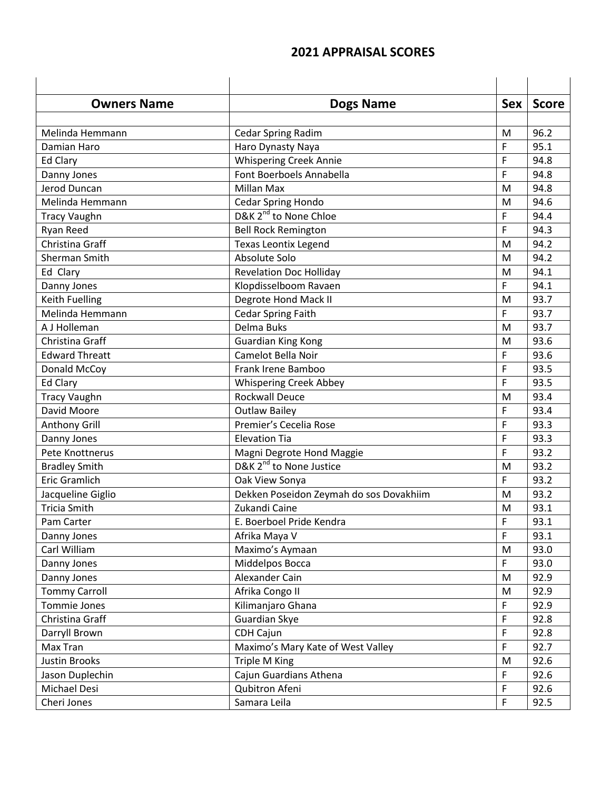| <b>Owners Name</b>    | <b>Dogs Name</b>                        | <b>Sex</b> | <b>Score</b> |
|-----------------------|-----------------------------------------|------------|--------------|
|                       |                                         |            |              |
| Melinda Hemmann       | Cedar Spring Radim                      | M          | 96.2         |
| Damian Haro           | Haro Dynasty Naya                       | F          | 95.1         |
| Ed Clary              | <b>Whispering Creek Annie</b>           | F          | 94.8         |
| Danny Jones           | Font Boerboels Annabella                | F          | 94.8         |
| Jerod Duncan          | Millan Max                              | M          | 94.8         |
| Melinda Hemmann       | Cedar Spring Hondo                      | M          | 94.6         |
| <b>Tracy Vaughn</b>   | D&K 2 <sup>nd</sup> to None Chloe       | F          | 94.4         |
| Ryan Reed             | <b>Bell Rock Remington</b>              | F          | 94.3         |
| Christina Graff       | <b>Texas Leontix Legend</b>             | M          | 94.2         |
| Sherman Smith         | Absolute Solo                           | M          | 94.2         |
| Ed Clary              | <b>Revelation Doc Holliday</b>          | M          | 94.1         |
| Danny Jones           | Klopdisselboom Ravaen                   | F          | 94.1         |
| <b>Keith Fuelling</b> | Degrote Hond Mack II                    | M          | 93.7         |
| Melinda Hemmann       | <b>Cedar Spring Faith</b>               | F          | 93.7         |
| A J Holleman          | Delma Buks                              | M          | 93.7         |
| Christina Graff       | <b>Guardian King Kong</b>               | M          | 93.6         |
| <b>Edward Threatt</b> | Camelot Bella Noir                      | F          | 93.6         |
| Donald McCoy          | Frank Irene Bamboo                      | F          | 93.5         |
| <b>Ed Clary</b>       | <b>Whispering Creek Abbey</b>           | F          | 93.5         |
| <b>Tracy Vaughn</b>   | <b>Rockwall Deuce</b>                   | M          | 93.4         |
| David Moore           | <b>Outlaw Bailey</b>                    | F          | 93.4         |
| <b>Anthony Grill</b>  | Premier's Cecelia Rose                  | F          | 93.3         |
| Danny Jones           | <b>Elevation Tia</b>                    | F          | 93.3         |
| Pete Knottnerus       | Magni Degrote Hond Maggie               | F          | 93.2         |
| <b>Bradley Smith</b>  | D&K 2 <sup>nd</sup> to None Justice     | M          | 93.2         |
| <b>Eric Gramlich</b>  | Oak View Sonya                          | F          | 93.2         |
| Jacqueline Giglio     | Dekken Poseidon Zeymah do sos Dovakhiim | M          | 93.2         |
| <b>Tricia Smith</b>   | Zukandi Caine                           | M          | 93.1         |
| Pam Carter            | E. Boerboel Pride Kendra                | F          | 93.1         |
| Danny Jones           | Afrika Maya V                           | F          | 93.1         |
| Carl William          | Maximo's Aymaan                         | M          | 93.0         |
| Danny Jones           | Middelpos Bocca                         | F          | 93.0         |
| Danny Jones           | Alexander Cain                          | M          | 92.9         |
| <b>Tommy Carroll</b>  | Afrika Congo II                         | M          | 92.9         |
| Tommie Jones          | Kilimanjaro Ghana                       | F          | 92.9         |
| Christina Graff       | Guardian Skye                           | F          | 92.8         |
| Darryll Brown         | CDH Cajun                               | F          | 92.8         |
| Max Tran              | Maximo's Mary Kate of West Valley       | F.         | 92.7         |
| <b>Justin Brooks</b>  | Triple M King                           | M          | 92.6         |
| Jason Duplechin       | Cajun Guardians Athena                  | F          | 92.6         |
| Michael Desi          | Qubitron Afeni                          | F          | 92.6         |
| Cheri Jones           | Samara Leila                            | F          | 92.5         |

## **2021 APPRAISAL SCORES**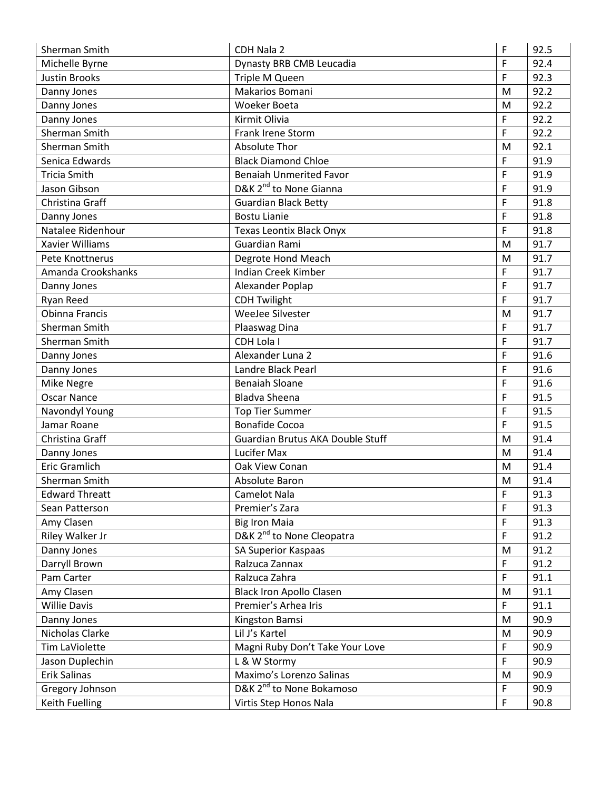| F<br>92.4<br>Michelle Byrne<br>Dynasty BRB CMB Leucadia<br>F<br>92.3<br><b>Justin Brooks</b><br>Triple M Queen<br>Makarios Bomani<br>92.2<br>Danny Jones<br>M |  |
|---------------------------------------------------------------------------------------------------------------------------------------------------------------|--|
|                                                                                                                                                               |  |
|                                                                                                                                                               |  |
|                                                                                                                                                               |  |
| 92.2<br><b>Woeker Boeta</b><br>Danny Jones<br>M                                                                                                               |  |
| F<br>92.2<br>Kirmit Olivia<br>Danny Jones                                                                                                                     |  |
| F<br>Sherman Smith<br>Frank Irene Storm<br>92.2                                                                                                               |  |
| <b>Absolute Thor</b><br>Sherman Smith<br>92.1<br>M                                                                                                            |  |
| F<br>Senica Edwards<br><b>Black Diamond Chloe</b><br>91.9                                                                                                     |  |
| F<br><b>Tricia Smith</b><br><b>Benaiah Unmerited Favor</b><br>91.9                                                                                            |  |
| D&K 2 <sup>nd</sup> to None Gianna<br>Jason Gibson<br>F<br>91.9                                                                                               |  |
| F<br>Christina Graff<br><b>Guardian Black Betty</b><br>91.8                                                                                                   |  |
| F<br><b>Bostu Lianie</b><br>91.8<br>Danny Jones                                                                                                               |  |
| F<br>Natalee Ridenhour<br><b>Texas Leontix Black Onyx</b><br>91.8                                                                                             |  |
| Guardian Rami<br>91.7<br>Xavier Williams<br>M                                                                                                                 |  |
| Degrote Hond Meach<br>91.7<br>Pete Knottnerus<br>M                                                                                                            |  |
| Amanda Crookshanks<br><b>Indian Creek Kimber</b><br>F<br>91.7                                                                                                 |  |
| F<br>91.7<br>Alexander Poplap<br>Danny Jones                                                                                                                  |  |
| F<br>Ryan Reed<br><b>CDH Twilight</b><br>91.7                                                                                                                 |  |
| <b>Obinna Francis</b><br>WeeJee Silvester<br>M<br>91.7                                                                                                        |  |
| F<br>Sherman Smith<br>Plaaswag Dina<br>91.7                                                                                                                   |  |
| F<br>CDH Lola I<br>91.7<br>Sherman Smith                                                                                                                      |  |
| Alexander Luna 2<br>F<br>91.6<br>Danny Jones                                                                                                                  |  |
| F<br>91.6<br>Danny Jones<br>Landre Black Pearl                                                                                                                |  |
| F<br><b>Benaiah Sloane</b><br>91.6<br>Mike Negre                                                                                                              |  |
| <b>Oscar Nance</b><br><b>Bladva Sheena</b><br>F<br>91.5                                                                                                       |  |
| F<br>91.5<br>Navondyl Young<br><b>Top Tier Summer</b>                                                                                                         |  |
| <b>Bonafide Cocoa</b><br>F<br>91.5<br>Jamar Roane                                                                                                             |  |
| Guardian Brutus AKA Double Stuff<br>Christina Graff<br>91.4<br>M                                                                                              |  |
| Lucifer Max<br>91.4<br>Danny Jones<br>M                                                                                                                       |  |
| <b>Eric Gramlich</b><br>Oak View Conan<br>91.4<br>M                                                                                                           |  |
| Sherman Smith<br>Absolute Baron<br>91.4<br>M                                                                                                                  |  |
| <b>Edward Threatt</b><br>Camelot Nala<br>F<br>91.3                                                                                                            |  |
| F<br>Premier's Zara<br>91.3<br>Sean Patterson                                                                                                                 |  |
| F<br>Amy Clasen<br><b>Big Iron Maia</b><br>91.3                                                                                                               |  |
| D&K 2 <sup>nd</sup> to None Cleopatra<br>F<br>Riley Walker Jr<br>91.2                                                                                         |  |
| 91.2<br>Danny Jones<br>SA Superior Kaspaas<br>M                                                                                                               |  |
| Darryll Brown<br>Ralzuca Zannax<br>F<br>91.2                                                                                                                  |  |
| Ralzuca Zahra<br>F<br>Pam Carter<br>91.1                                                                                                                      |  |
| 91.1<br>Amy Clasen<br><b>Black Iron Apollo Clasen</b><br>M                                                                                                    |  |
| F.<br>Premier's Arhea Iris<br>91.1<br><b>Willie Davis</b>                                                                                                     |  |
| Kingston Bamsi<br>90.9<br>Danny Jones<br>M                                                                                                                    |  |
| Lil J's Kartel<br>Nicholas Clarke<br>90.9<br>M                                                                                                                |  |
| F<br>Magni Ruby Don't Take Your Love<br>90.9<br>Tim LaViolette                                                                                                |  |
| L & W Stormy<br>F<br>90.9<br>Jason Duplechin                                                                                                                  |  |
| Erik Salinas<br>Maximo's Lorenzo Salinas<br>90.9<br>M                                                                                                         |  |
| D&K 2 <sup>nd</sup> to None Bokamoso<br>F<br>90.9<br>Gregory Johnson                                                                                          |  |
| $\mathsf F$<br>Keith Fuelling<br>Virtis Step Honos Nala<br>90.8                                                                                               |  |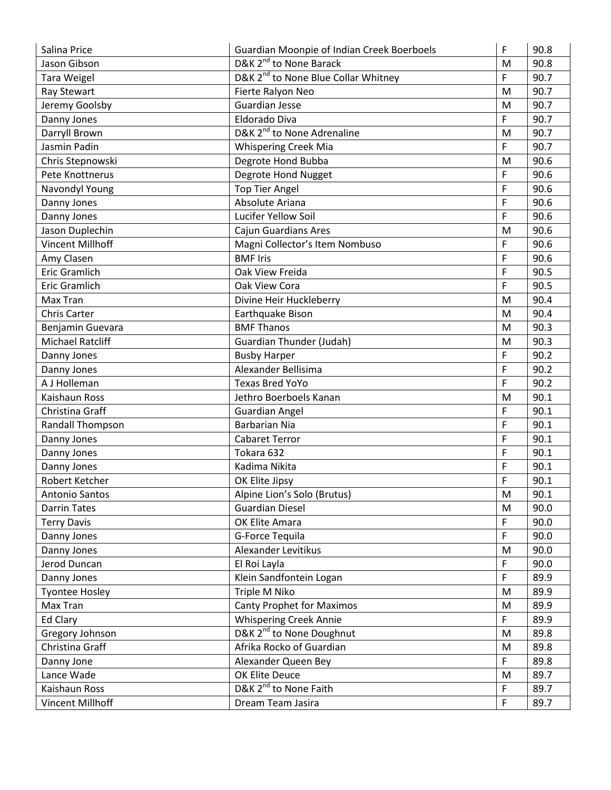| Salina Price            | Guardian Moonpie of Indian Creek Boerboels      | F           | 90.8 |
|-------------------------|-------------------------------------------------|-------------|------|
| Jason Gibson            | D&K 2 <sup>nd</sup> to None Barack              | M           | 90.8 |
| Tara Weigel             | D&K 2 <sup>nd</sup> to None Blue Collar Whitney | F           | 90.7 |
| Ray Stewart             | Fierte Ralyon Neo                               | M           | 90.7 |
| Jeremy Goolsby          | <b>Guardian Jesse</b>                           | M           | 90.7 |
| Danny Jones             | Eldorado Diva                                   | $\mathsf F$ | 90.7 |
| Darryll Brown           | D&K 2 <sup>nd</sup> to None Adrenaline          | M           | 90.7 |
| Jasmin Padin            | <b>Whispering Creek Mia</b>                     | F           | 90.7 |
| Chris Stepnowski        | Degrote Hond Bubba                              | M           | 90.6 |
| Pete Knottnerus         | Degrote Hond Nugget                             | F           | 90.6 |
| Navondyl Young          | <b>Top Tier Angel</b>                           | F           | 90.6 |
| Danny Jones             | Absolute Ariana                                 | F           | 90.6 |
| Danny Jones             | Lucifer Yellow Soil                             | F           | 90.6 |
| Jason Duplechin         | Cajun Guardians Ares                            | M           | 90.6 |
| <b>Vincent Millhoff</b> | Magni Collector's Item Nombuso                  | F           | 90.6 |
| Amy Clasen              | <b>BMF Iris</b>                                 | F           | 90.6 |
| Eric Gramlich           | Oak View Freida                                 | F           | 90.5 |
| Eric Gramlich           | Oak View Cora                                   | F           | 90.5 |
| Max Tran                | Divine Heir Huckleberry                         | M           | 90.4 |
| Chris Carter            | Earthquake Bison                                | ${\sf M}$   | 90.4 |
| Benjamin Guevara        | <b>BMF Thanos</b>                               | M           | 90.3 |
| <b>Michael Ratcliff</b> | Guardian Thunder (Judah)                        | M           | 90.3 |
| Danny Jones             | <b>Busby Harper</b>                             | F           | 90.2 |
| Danny Jones             | Alexander Bellisima                             | F           | 90.2 |
| A J Holleman            | <b>Texas Bred YoYo</b>                          | F           | 90.2 |
| Kaishaun Ross           | Jethro Boerboels Kanan                          | M           | 90.1 |
| Christina Graff         | <b>Guardian Angel</b>                           | F           | 90.1 |
| Randall Thompson        | <b>Barbarian Nia</b>                            | F           | 90.1 |
| Danny Jones             | <b>Cabaret Terror</b>                           | F           | 90.1 |
| Danny Jones             | Tokara 632                                      | F           | 90.1 |
| Danny Jones             | Kadima Nikita                                   | F           | 90.1 |
| Robert Ketcher          | OK Elite Jipsy                                  | F           | 90.1 |
| <b>Antonio Santos</b>   | Alpine Lion's Solo (Brutus)                     | M           | 90.1 |
| <b>Darrin Tates</b>     | <b>Guardian Diesel</b>                          | M           | 90.0 |
| <b>Terry Davis</b>      | OK Elite Amara                                  | F           | 90.0 |
| Danny Jones             | G-Force Tequila                                 | F           | 90.0 |
| Danny Jones             | Alexander Levitikus                             | M           | 90.0 |
| Jerod Duncan            | El Roi Layla                                    | $\mathsf F$ | 90.0 |
| Danny Jones             | Klein Sandfontein Logan                         | F           | 89.9 |
| <b>Tyontee Hosley</b>   | Triple M Niko                                   | M           | 89.9 |
| Max Tran                | <b>Canty Prophet for Maximos</b>                | M           | 89.9 |
| <b>Ed Clary</b>         | <b>Whispering Creek Annie</b>                   | $\mathsf F$ | 89.9 |
| Gregory Johnson         | D&K 2 <sup>nd</sup> to None Doughnut            | ${\sf M}$   | 89.8 |
| Christina Graff         | Afrika Rocko of Guardian                        | ${\sf M}$   | 89.8 |
| Danny Jone              | Alexander Queen Bey                             | F           | 89.8 |
| Lance Wade              | OK Elite Deuce                                  | ${\sf M}$   | 89.7 |
| Kaishaun Ross           | D&K 2 <sup>nd</sup> to None Faith               | F           | 89.7 |
| Vincent Millhoff        | Dream Team Jasira                               | F           | 89.7 |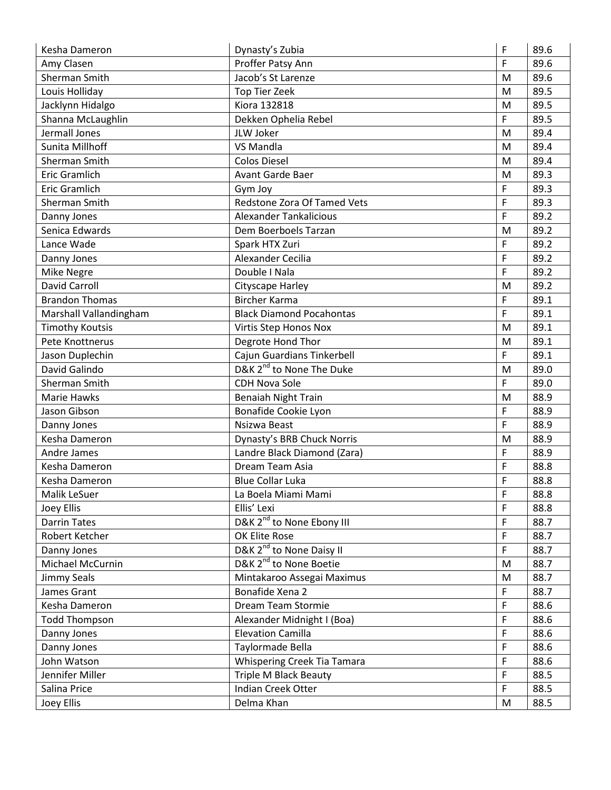| Kesha Dameron          | Dynasty's Zubia                       | F | 89.6 |
|------------------------|---------------------------------------|---|------|
| Amy Clasen             | Proffer Patsy Ann                     | F | 89.6 |
| Sherman Smith          | Jacob's St Larenze                    | M | 89.6 |
| Louis Holliday         | Top Tier Zeek                         | M | 89.5 |
| Jacklynn Hidalgo       | Kiora 132818                          | M | 89.5 |
| Shanna McLaughlin      | Dekken Ophelia Rebel                  | F | 89.5 |
| Jermall Jones          | JLW Joker                             | M | 89.4 |
| Sunita Millhoff        | <b>VS Mandla</b>                      | M | 89.4 |
| Sherman Smith          | <b>Colos Diesel</b>                   | M | 89.4 |
| Eric Gramlich          | <b>Avant Garde Baer</b>               | M | 89.3 |
| <b>Eric Gramlich</b>   | Gym Joy                               | F | 89.3 |
| Sherman Smith          | Redstone Zora Of Tamed Vets           | F | 89.3 |
| Danny Jones            | <b>Alexander Tankalicious</b>         | F | 89.2 |
| Senica Edwards         | Dem Boerboels Tarzan                  | M | 89.2 |
| Lance Wade             | Spark HTX Zuri                        | F | 89.2 |
| Danny Jones            | Alexander Cecilia                     | F | 89.2 |
| Mike Negre             | Double I Nala                         | F | 89.2 |
| <b>David Carroll</b>   | Cityscape Harley                      | M | 89.2 |
| <b>Brandon Thomas</b>  | <b>Bircher Karma</b>                  | F | 89.1 |
| Marshall Vallandingham | <b>Black Diamond Pocahontas</b>       | F | 89.1 |
| <b>Timothy Koutsis</b> | Virtis Step Honos Nox                 | M | 89.1 |
| Pete Knottnerus        | Degrote Hond Thor                     | M | 89.1 |
| Jason Duplechin        | Cajun Guardians Tinkerbell            | F | 89.1 |
| David Galindo          | D&K 2 <sup>nd</sup> to None The Duke  | M | 89.0 |
| Sherman Smith          | <b>CDH Nova Sole</b>                  | F | 89.0 |
| <b>Marie Hawks</b>     | <b>Benaiah Night Train</b>            | M | 88.9 |
| Jason Gibson           | Bonafide Cookie Lyon                  | F | 88.9 |
| Danny Jones            | Nsizwa Beast                          | F | 88.9 |
| Kesha Dameron          | Dynasty's BRB Chuck Norris            | M | 88.9 |
| Andre James            | Landre Black Diamond (Zara)           | F | 88.9 |
| Kesha Dameron          | Dream Team Asia                       | F | 88.8 |
| Kesha Dameron          | <b>Blue Collar Luka</b>               | F | 88.8 |
| Malik LeSuer           | La Boela Miami Mami                   | F | 88.8 |
| Joey Ellis             | Ellis' Lexi                           | F | 88.8 |
| <b>Darrin Tates</b>    | D&K 2 <sup>nd</sup> to None Ebony III | F | 88.7 |
| Robert Ketcher         | OK Elite Rose                         | F | 88.7 |
| Danny Jones            | D&K 2 <sup>nd</sup> to None Daisy II  | F | 88.7 |
| Michael McCurnin       | D&K 2 <sup>nd</sup> to None Boetie    | M | 88.7 |
| Jimmy Seals            | Mintakaroo Assegai Maximus            | M | 88.7 |
| James Grant            | Bonafide Xena 2                       | F | 88.7 |
| Kesha Dameron          | Dream Team Stormie                    | F | 88.6 |
| <b>Todd Thompson</b>   | Alexander Midnight I (Boa)            | F | 88.6 |
| Danny Jones            | <b>Elevation Camilla</b>              | F | 88.6 |
| Danny Jones            | Taylormade Bella                      | F | 88.6 |
| John Watson            | Whispering Creek Tia Tamara           | F | 88.6 |
| Jennifer Miller        | Triple M Black Beauty                 | F | 88.5 |
| Salina Price           | Indian Creek Otter                    | F | 88.5 |
| Joey Ellis             | Delma Khan                            | M | 88.5 |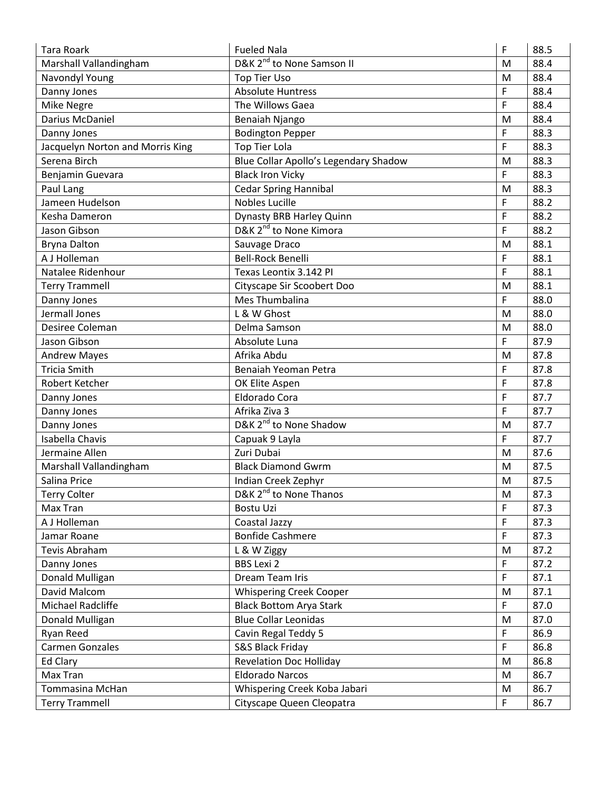| <b>Tara Roark</b>                | <b>Fueled Nala</b>                    | F           | 88.5 |
|----------------------------------|---------------------------------------|-------------|------|
| Marshall Vallandingham           | D&K 2 <sup>nd</sup> to None Samson II | M           | 88.4 |
| Navondyl Young                   | Top Tier Uso                          | M           | 88.4 |
| Danny Jones                      | <b>Absolute Huntress</b>              | F           | 88.4 |
| <b>Mike Negre</b>                | The Willows Gaea                      | F           | 88.4 |
| Darius McDaniel                  | Benaiah Njango                        | M           | 88.4 |
| Danny Jones                      | <b>Bodington Pepper</b>               | F           | 88.3 |
| Jacquelyn Norton and Morris King | <b>Top Tier Lola</b>                  | F           | 88.3 |
| Serena Birch                     | Blue Collar Apollo's Legendary Shadow | M           | 88.3 |
| Benjamin Guevara                 | <b>Black Iron Vicky</b>               | F           | 88.3 |
| Paul Lang                        | <b>Cedar Spring Hannibal</b>          | ${\sf M}$   | 88.3 |
| Jameen Hudelson                  | <b>Nobles Lucille</b>                 | F           | 88.2 |
| Kesha Dameron                    | Dynasty BRB Harley Quinn              | F           | 88.2 |
| Jason Gibson                     | D&K 2 <sup>nd</sup> to None Kimora    | F           | 88.2 |
| <b>Bryna Dalton</b>              | Sauvage Draco                         | M           | 88.1 |
| A J Holleman                     | <b>Bell-Rock Benelli</b>              | F           | 88.1 |
| Natalee Ridenhour                | Texas Leontix 3.142 PI                | F           | 88.1 |
| <b>Terry Trammell</b>            | Cityscape Sir Scoobert Doo            | M           | 88.1 |
| Danny Jones                      | Mes Thumbalina                        | F           | 88.0 |
| Jermall Jones                    | L & W Ghost                           | M           | 88.0 |
| Desiree Coleman                  | Delma Samson                          | M           | 88.0 |
| Jason Gibson                     | Absolute Luna                         | F           | 87.9 |
| <b>Andrew Mayes</b>              | Afrika Abdu                           | M           | 87.8 |
| <b>Tricia Smith</b>              | Benaiah Yeoman Petra                  | F           | 87.8 |
| Robert Ketcher                   | OK Elite Aspen                        | F           | 87.8 |
| Danny Jones                      | Eldorado Cora                         | F           | 87.7 |
| Danny Jones                      | Afrika Ziva 3                         | F           | 87.7 |
| Danny Jones                      | D&K 2 <sup>nd</sup> to None Shadow    | M           | 87.7 |
| <b>Isabella Chavis</b>           | Capuak 9 Layla                        | F           | 87.7 |
| Jermaine Allen                   | Zuri Dubai                            | M           | 87.6 |
| Marshall Vallandingham           | <b>Black Diamond Gwrm</b>             | M           | 87.5 |
| Salina Price                     | Indian Creek Zephyr                   | M           | 87.5 |
| <b>Terry Colter</b>              | D&K 2 <sup>nd</sup> to None Thanos    | M           | 87.3 |
| Max Tran                         | <b>Bostu Uzi</b>                      | F           | 87.3 |
| A J Holleman                     | Coastal Jazzy                         | F           | 87.3 |
| Jamar Roane                      | <b>Bonfide Cashmere</b>               | F           | 87.3 |
| Tevis Abraham                    | L & W Ziggy                           | M           | 87.2 |
| Danny Jones                      | <b>BBS Lexi 2</b>                     | F           | 87.2 |
| Donald Mulligan                  | Dream Team Iris                       | F           | 87.1 |
| David Malcom                     | <b>Whispering Creek Cooper</b>        | ${\sf M}$   | 87.1 |
| Michael Radcliffe                | <b>Black Bottom Arya Stark</b>        | $\mathsf F$ | 87.0 |
| Donald Mulligan                  | <b>Blue Collar Leonidas</b>           | ${\sf M}$   | 87.0 |
| Ryan Reed                        | Cavin Regal Teddy 5                   | F           | 86.9 |
| <b>Carmen Gonzales</b>           | S&S Black Friday                      | F           | 86.8 |
| Ed Clary                         | <b>Revelation Doc Holliday</b>        | M           | 86.8 |
| Max Tran                         | <b>Eldorado Narcos</b>                | M           | 86.7 |
| <b>Tommasina McHan</b>           | Whispering Creek Koba Jabari          | M           | 86.7 |
| <b>Terry Trammell</b>            | Cityscape Queen Cleopatra             | F           | 86.7 |